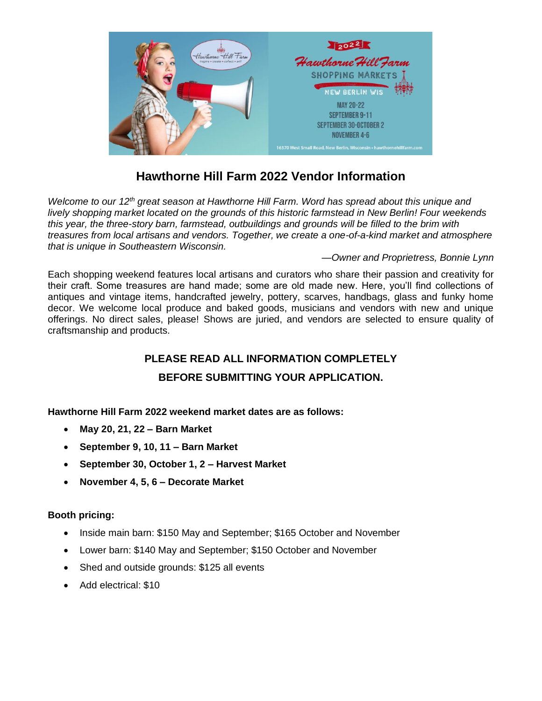

# **Hawthorne Hill Farm 2022 Vendor Information**

*Welcome to our 12th great season at Hawthorne Hill Farm. Word has spread about this unique and lively shopping market located on the grounds of this historic farmstead in New Berlin! Four weekends this year, the three-story barn, farmstead, outbuildings and grounds will be filled to the brim with treasures from local artisans and vendors. Together, we create a one-of-a-kind market and atmosphere that is unique in Southeastern Wisconsin.*

#### *—Owner and Proprietress, Bonnie Lynn*

Each shopping weekend features local artisans and curators who share their passion and creativity for their craft. Some treasures are hand made; some are old made new. Here, you'll find collections of antiques and vintage items, handcrafted jewelry, pottery, scarves, handbags, glass and funky home decor. We welcome local produce and baked goods, musicians and vendors with new and unique offerings. No direct sales, please! Shows are juried, and vendors are selected to ensure quality of craftsmanship and products.

## **PLEASE READ ALL INFORMATION COMPLETELY**

### **BEFORE SUBMITTING YOUR APPLICATION.**

**Hawthorne Hill Farm 2022 weekend market dates are as follows:**

- **May 20, 21, 22 – Barn Market**
- **September 9, 10, 11 – Barn Market**
- **September 30, October 1, 2 – Harvest Market**
- **November 4, 5, 6 – Decorate Market**

#### **Booth pricing:**

- Inside main barn: \$150 May and September; \$165 October and November
- Lower barn: \$140 May and September; \$150 October and November
- Shed and outside grounds: \$125 all events
- Add electrical: \$10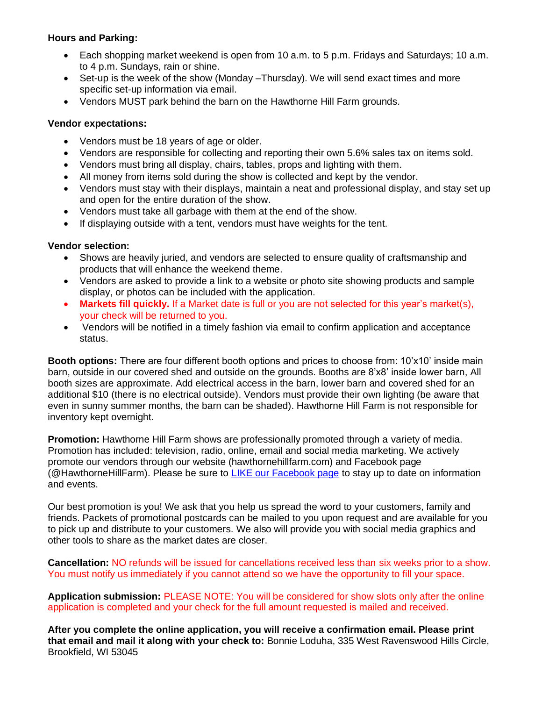#### **Hours and Parking:**

- Each shopping market weekend is open from 10 a.m. to 5 p.m. Fridays and Saturdays; 10 a.m. to 4 p.m. Sundays, rain or shine.
- Set-up is the week of the show (Monday –Thursday). We will send exact times and more specific set-up information via email.
- Vendors MUST park behind the barn on the Hawthorne Hill Farm grounds.

#### **Vendor expectations:**

- Vendors must be 18 years of age or older.
- Vendors are responsible for collecting and reporting their own 5.6% sales tax on items sold.
- Vendors must bring all display, chairs, tables, props and lighting with them.
- All money from items sold during the show is collected and kept by the vendor.
- Vendors must stay with their displays, maintain a neat and professional display, and stay set up and open for the entire duration of the show.
- Vendors must take all garbage with them at the end of the show.
- If displaying outside with a tent, vendors must have weights for the tent.

#### **Vendor selection:**

- Shows are heavily juried, and vendors are selected to ensure quality of craftsmanship and products that will enhance the weekend theme.
- Vendors are asked to provide a link to a website or photo site showing products and sample display, or photos can be included with the application.
- **Markets fill quickly.** If a Market date is full or you are not selected for this year's market(s), your check will be returned to you.
- Vendors will be notified in a timely fashion via email to confirm application and acceptance status.

**Booth options:** There are four different booth options and prices to choose from: 10'x10' inside main barn, outside in our covered shed and outside on the grounds. Booths are 8'x8' inside lower barn, All booth sizes are approximate. Add electrical access in the barn, lower barn and covered shed for an additional \$10 (there is no electrical outside). Vendors must provide their own lighting (be aware that even in sunny summer months, the barn can be shaded). Hawthorne Hill Farm is not responsible for inventory kept overnight.

**Promotion:** Hawthorne Hill Farm shows are professionally promoted through a variety of media. Promotion has included: television, radio, online, email and social media marketing. We actively promote our vendors through our website (hawthornehillfarm.com) and Facebook page (@HawthorneHillFarm). Please be sure to [LIKE our Facebook page](https://www.facebook.com/hawthornehillfarm) to stay up to date on information and events.

Our best promotion is you! We ask that you help us spread the word to your customers, family and friends. Packets of promotional postcards can be mailed to you upon request and are available for you to pick up and distribute to your customers. We also will provide you with social media graphics and other tools to share as the market dates are closer.

**Cancellation:** NO refunds will be issued for cancellations received less than six weeks prior to a show. You must notify us immediately if you cannot attend so we have the opportunity to fill your space.

**Application submission:** PLEASE NOTE: You will be considered for show slots only after the online application is completed and your check for the full amount requested is mailed and received.

**After you complete the online application, you will receive a confirmation email. Please print that email and mail it along with your check to:** Bonnie Loduha, 335 West Ravenswood Hills Circle, Brookfield, WI 53045